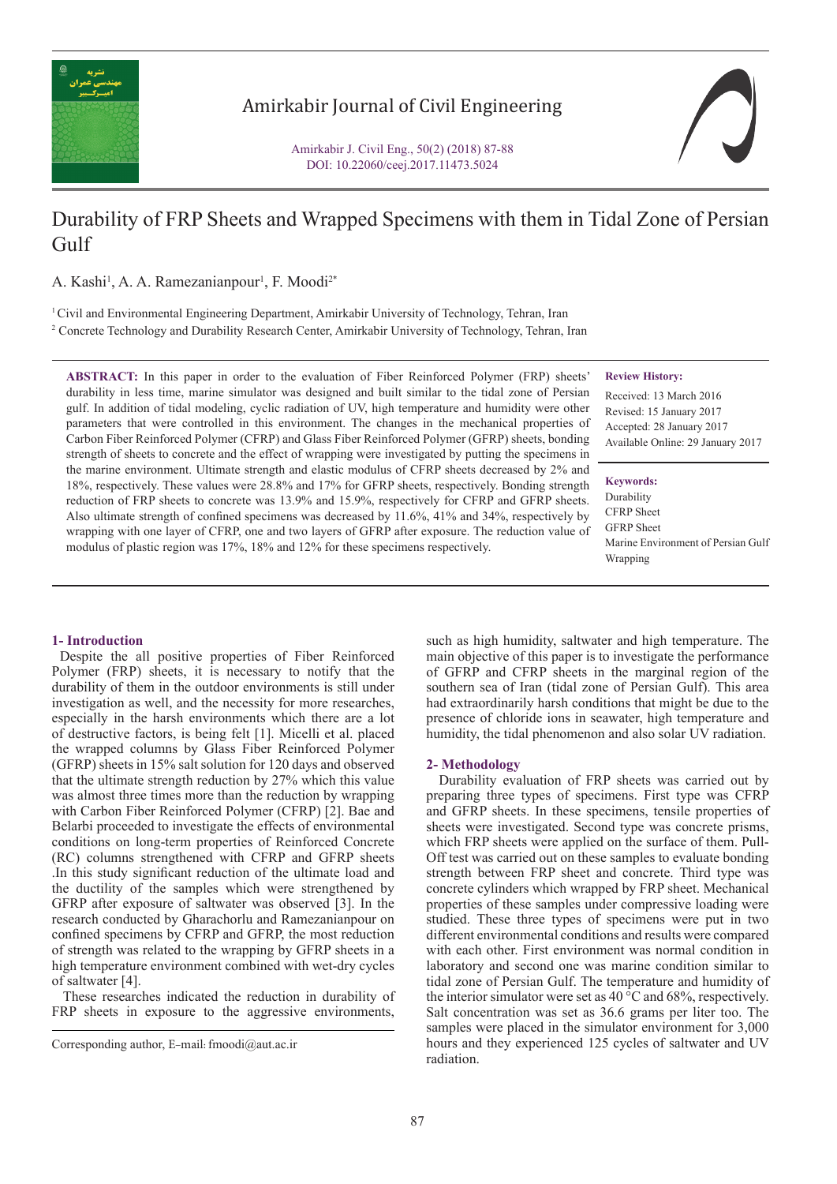

## Amirkabir Journal of Civil Engineering

Amirkabir J. Civil Eng., 50(2) (2018) 87-88 DOI: 10.22060/ceej.2017.11473.5024

# Durability of FRP Sheets and Wrapped Specimens with them in Tidal Zone of Persian Gulf

A. Kashi<sup>1</sup>, A. A. Ramezanianpour<sup>1</sup>, F. Moodi<sup>2\*</sup>

1 Civil and Environmental Engineering Department, Amirkabir University of Technology, Tehran, Iran 2 Concrete Technology and Durability Research Center, Amirkabir University of Technology, Tehran, Iran

**ABSTRACT:** In this paper in order to the evaluation of Fiber Reinforced Polymer (FRP) sheets' durability in less time, marine simulator was designed and built similar to the tidal zone of Persian gulf. In addition of tidal modeling, cyclic radiation of UV, high temperature and humidity were other parameters that were controlled in this environment. The changes in the mechanical properties of Carbon Fiber Reinforced Polymer (CFRP) and Glass Fiber Reinforced Polymer (GFRP) sheets, bonding strength of sheets to concrete and the effect of wrapping were investigated by putting the specimens in the marine environment. Ultimate strength and elastic modulus of CFRP sheets decreased by 2% and 18%, respectively. These values were 28.8% and 17% for GFRP sheets, respectively. Bonding strength reduction of FRP sheets to concrete was 13.9% and 15.9%, respectively for CFRP and GFRP sheets. Also ultimate strength of confined specimens was decreased by 11.6%, 41% and 34%, respectively by wrapping with one layer of CFRP, one and two layers of GFRP after exposure. The reduction value of modulus of plastic region was 17%, 18% and 12% for these specimens respectively.

#### **Review History:** Received: 13 March 2016

Revised: 15 January 2017 Accepted: 28 January 2017 Available Online: 29 January 2017

#### **Keywords:**

Durability CFRP Sheet GFRP Sheet Marine Environment of Persian Gulf Wrapping

## **1- Introduction**

 Despite the all positive properties of Fiber Reinforced Polymer (FRP) sheets, it is necessary to notify that the durability of them in the outdoor environments is still under investigation as well, and the necessity for more researches, especially in the harsh environments which there are a lot of destructive factors, is being felt [1]. Micelli et al. placed the wrapped columns by Glass Fiber Reinforced Polymer (GFRP) sheets in 15% salt solution for 120 days and observed that the ultimate strength reduction by 27% which this value was almost three times more than the reduction by wrapping with Carbon Fiber Reinforced Polymer (CFRP) [2]. Bae and Belarbi proceeded to investigate the effects of environmental conditions on long-term properties of Reinforced Concrete (RC) columns strengthened with CFRP and GFRP sheets .In this study significant reduction of the ultimate load and the ductility of the samples which were strengthened by GFRP after exposure of saltwater was observed [3]. In the research conducted by Gharachorlu and Ramezanianpour on confined specimens by CFRP and GFRP, the most reduction of strength was related to the wrapping by GFRP sheets in a high temperature environment combined with wet-dry cycles of saltwater [4].

 These researches indicated the reduction in durability of FRP sheets in exposure to the aggressive environments, such as high humidity, saltwater and high temperature. The main objective of this paper is to investigate the performance of GFRP and CFRP sheets in the marginal region of the southern sea of Iran (tidal zone of Persian Gulf). This area had extraordinarily harsh conditions that might be due to the presence of chloride ions in seawater, high temperature and humidity, the tidal phenomenon and also solar UV radiation.

#### **2- Methodology**

 Durability evaluation of FRP sheets was carried out by preparing three types of specimens. First type was CFRP and GFRP sheets. In these specimens, tensile properties of sheets were investigated. Second type was concrete prisms, which FRP sheets were applied on the surface of them. Pull-Off test was carried out on these samples to evaluate bonding strength between FRP sheet and concrete. Third type was concrete cylinders which wrapped by FRP sheet. Mechanical properties of these samples under compressive loading were studied. These three types of specimens were put in two different environmental conditions and results were compared with each other. First environment was normal condition in laboratory and second one was marine condition similar to tidal zone of Persian Gulf. The temperature and humidity of the interior simulator were set as 40 °C and 68%, respectively. Salt concentration was set as 36.6 grams per liter too. The samples were placed in the simulator environment for 3,000 hours and they experienced 125 cycles of saltwater and UV radiation.

Corresponding author, E-mail: fmoodi@aut.ac.ir